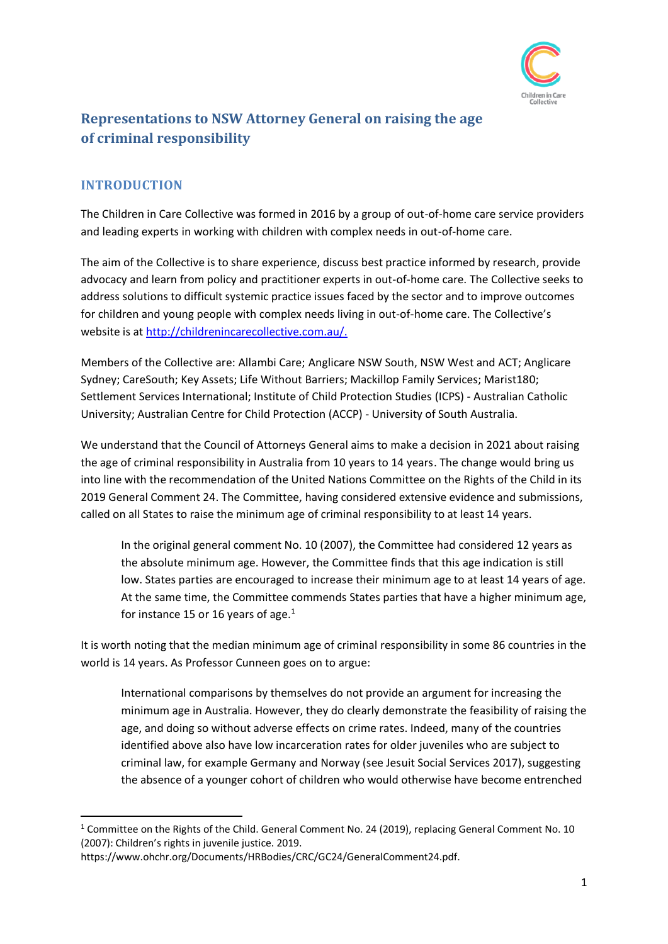

# **Representations to NSW Attorney General on raising the age of criminal responsibility**

## **INTRODUCTION**

The Children in Care Collective was formed in 2016 by a group of out-of-home care service providers and leading experts in working with children with complex needs in out-of-home care.

The aim of the Collective is to share experience, discuss best practice informed by research, provide advocacy and learn from policy and practitioner experts in out-of-home care. The Collective seeks to address solutions to difficult systemic practice issues faced by the sector and to improve outcomes for children and young people with complex needs living in out-of-home care. The Collective's website is at [http://childrenincarecollective.com.au/.](http://childrenincarecollective.com.au/)

Members of the Collective are: Allambi Care; Anglicare NSW South, NSW West and ACT; Anglicare Sydney; CareSouth; Key Assets; Life Without Barriers; Mackillop Family Services; Marist180; Settlement Services International; Institute of Child Protection Studies (ICPS) - Australian Catholic University; Australian Centre for Child Protection (ACCP) - University of South Australia.

We understand that the Council of Attorneys General aims to make a decision in 2021 about raising the age of criminal responsibility in Australia from 10 years to 14 years. The change would bring us into line with the recommendation of the United Nations Committee on the Rights of the Child in its 2019 General Comment 24. The Committee, having considered extensive evidence and submissions, called on all States to raise the minimum age of criminal responsibility to at least 14 years.

In the original general comment No. 10 (2007), the Committee had considered 12 years as the absolute minimum age. However, the Committee finds that this age indication is still low. States parties are encouraged to increase their minimum age to at least 14 years of age. At the same time, the Committee commends States parties that have a higher minimum age, for instance 15 or 16 years of age. $<sup>1</sup>$ </sup>

It is worth noting that the median minimum age of criminal responsibility in some 86 countries in the world is 14 years. As Professor Cunneen goes on to argue:

International comparisons by themselves do not provide an argument for increasing the minimum age in Australia. However, they do clearly demonstrate the feasibility of raising the age, and doing so without adverse effects on crime rates. Indeed, many of the countries identified above also have low incarceration rates for older juveniles who are subject to criminal law, for example Germany and Norway (see Jesuit Social Services 2017), suggesting the absence of a younger cohort of children who would otherwise have become entrenched

<sup>&</sup>lt;sup>1</sup> Committee on the Rights of the Child. General Comment No. 24 (2019), replacing General Comment No. 10 (2007): Children's rights in juvenile justice. 2019.

https://www.ohchr.org/Documents/HRBodies/CRC/GC24/GeneralComment24.pdf.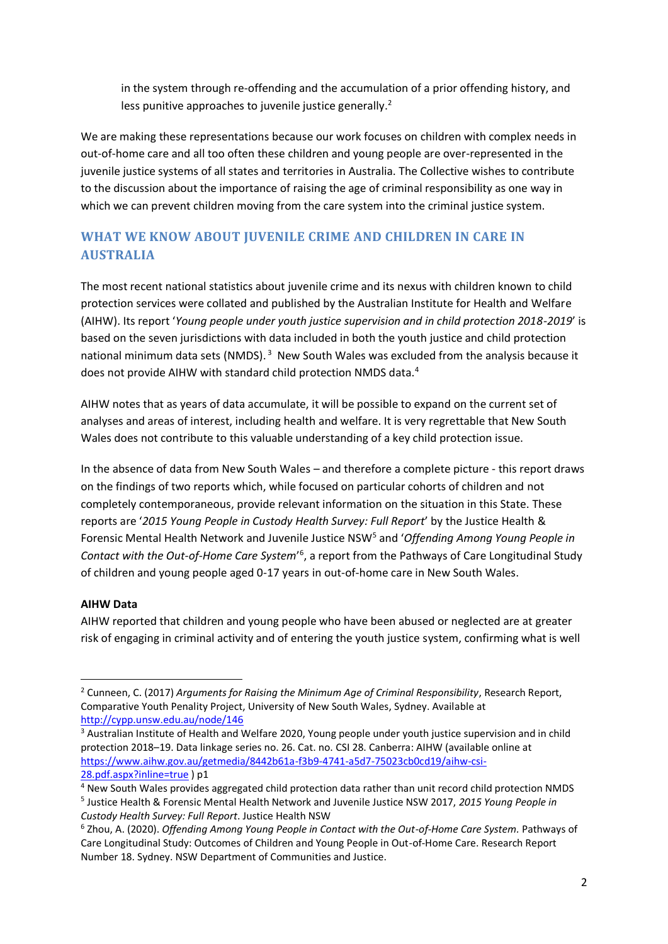in the system through re-offending and the accumulation of a prior offending history, and less punitive approaches to juvenile justice generally.<sup>2</sup>

We are making these representations because our work focuses on children with complex needs in out-of-home care and all too often these children and young people are over-represented in the juvenile justice systems of all states and territories in Australia. The Collective wishes to contribute to the discussion about the importance of raising the age of criminal responsibility as one way in which we can prevent children moving from the care system into the criminal justice system.

## **WHAT WE KNOW ABOUT JUVENILE CRIME AND CHILDREN IN CARE IN AUSTRALIA**

The most recent national statistics about juvenile crime and its nexus with children known to child protection services were collated and published by the Australian Institute for Health and Welfare (AIHW). Its report '*Young people under youth justice supervision and in child protection 2018-2019*' is based on the seven jurisdictions with data included in both the youth justice and child protection national minimum data sets (NMDS).<sup>3</sup> New South Wales was excluded from the analysis because it does not provide AIHW with standard child protection NMDS data.<sup>4</sup>

AIHW notes that as years of data accumulate, it will be possible to expand on the current set of analyses and areas of interest, including health and welfare. It is very regrettable that New South Wales does not contribute to this valuable understanding of a key child protection issue.

In the absence of data from New South Wales – and therefore a complete picture - this report draws on the findings of two reports which, while focused on particular cohorts of children and not completely contemporaneous, provide relevant information on the situation in this State. These reports are '*2015 Young People in Custody Health Survey: Full Report*' by the Justice Health & Forensic Mental Health Network and Juvenile Justice NSW<sup>5</sup> and 'Offending Among Young People in Contact with the Out-of-Home Care System<sup>,6</sup>, a report from the Pathways of Care Longitudinal Study of children and young people aged 0-17 years in out-of-home care in New South Wales.

#### **AIHW Data**

AIHW reported that children and young people who have been abused or neglected are at greater risk of engaging in criminal activity and of entering the youth justice system, confirming what is well

<sup>2</sup> Cunneen, C. (2017) *Arguments for Raising the Minimum Age of Criminal Responsibility*, Research Report, Comparative Youth Penality Project, University of New South Wales, Sydney. Available at <http://cypp.unsw.edu.au/node/146>

<sup>3</sup> Australian Institute of Health and Welfare 2020, Young people under youth justice supervision and in child protection 2018–19. Data linkage series no. 26. Cat. no. CSI 28. Canberra: AIHW (available online at [https://www.aihw.gov.au/getmedia/8442b61a-f3b9-4741-a5d7-75023cb0cd19/aihw-csi-](https://www.aihw.gov.au/getmedia/8442b61a-f3b9-4741-a5d7-75023cb0cd19/aihw-csi-28.pdf.aspx?inline=true)[28.pdf.aspx?inline=true](https://www.aihw.gov.au/getmedia/8442b61a-f3b9-4741-a5d7-75023cb0cd19/aihw-csi-28.pdf.aspx?inline=true) ) p1

<sup>4</sup> New South Wales provides aggregated child protection data rather than unit record child protection NMDS 5 Justice Health & Forensic Mental Health Network and Juvenile Justice NSW 2017, *2015 Young People in Custody Health Survey: Full Report*. Justice Health NSW

<sup>6</sup> Zhou, A. (2020). *Offending Among Young People in Contact with the Out-of-Home Care System.* Pathways of Care Longitudinal Study: Outcomes of Children and Young People in Out-of-Home Care. Research Report Number 18. Sydney. NSW Department of Communities and Justice.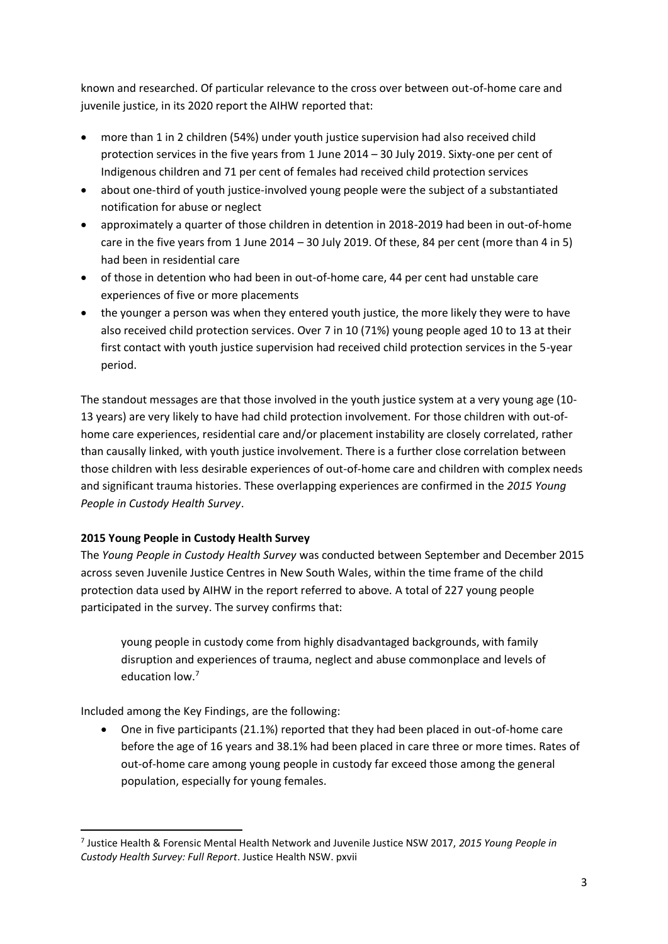known and researched. Of particular relevance to the cross over between out-of-home care and juvenile justice, in its 2020 report the AIHW reported that:

- more than 1 in 2 children (54%) under youth justice supervision had also received child protection services in the five years from 1 June 2014 – 30 July 2019. Sixty-one per cent of Indigenous children and 71 per cent of females had received child protection services
- about one-third of youth justice-involved young people were the subject of a substantiated notification for abuse or neglect
- approximately a quarter of those children in detention in 2018-2019 had been in out-of-home care in the five years from 1 June 2014 – 30 July 2019. Of these, 84 per cent (more than 4 in 5) had been in residential care
- of those in detention who had been in out-of-home care, 44 per cent had unstable care experiences of five or more placements
- the younger a person was when they entered youth justice, the more likely they were to have also received child protection services. Over 7 in 10 (71%) young people aged 10 to 13 at their first contact with youth justice supervision had received child protection services in the 5-year period.

The standout messages are that those involved in the youth justice system at a very young age (10- 13 years) are very likely to have had child protection involvement. For those children with out-ofhome care experiences, residential care and/or placement instability are closely correlated, rather than causally linked, with youth justice involvement. There is a further close correlation between those children with less desirable experiences of out-of-home care and children with complex needs and significant trauma histories. These overlapping experiences are confirmed in the *2015 Young People in Custody Health Survey*.

## **2015 Young People in Custody Health Survey**

The *Young People in Custody Health Survey* was conducted between September and December 2015 across seven Juvenile Justice Centres in New South Wales, within the time frame of the child protection data used by AIHW in the report referred to above. A total of 227 young people participated in the survey. The survey confirms that:

young people in custody come from highly disadvantaged backgrounds, with family disruption and experiences of trauma, neglect and abuse commonplace and levels of education low.<sup>7</sup>

Included among the Key Findings, are the following:

• One in five participants (21.1%) reported that they had been placed in out-of-home care before the age of 16 years and 38.1% had been placed in care three or more times. Rates of out-of-home care among young people in custody far exceed those among the general population, especially for young females.

<sup>7</sup> Justice Health & Forensic Mental Health Network and Juvenile Justice NSW 2017, *2015 Young People in Custody Health Survey: Full Report*. Justice Health NSW. pxvii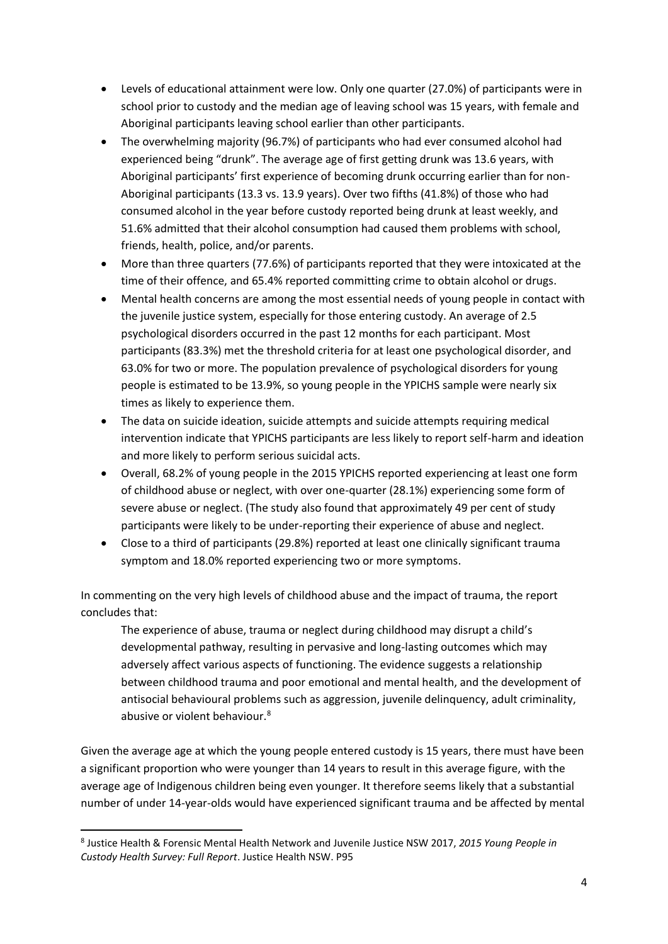- Levels of educational attainment were low. Only one quarter (27.0%) of participants were in school prior to custody and the median age of leaving school was 15 years, with female and Aboriginal participants leaving school earlier than other participants.
- The overwhelming majority (96.7%) of participants who had ever consumed alcohol had experienced being "drunk". The average age of first getting drunk was 13.6 years, with Aboriginal participants' first experience of becoming drunk occurring earlier than for non-Aboriginal participants (13.3 vs. 13.9 years). Over two fifths (41.8%) of those who had consumed alcohol in the year before custody reported being drunk at least weekly, and 51.6% admitted that their alcohol consumption had caused them problems with school, friends, health, police, and/or parents.
- More than three quarters (77.6%) of participants reported that they were intoxicated at the time of their offence, and 65.4% reported committing crime to obtain alcohol or drugs.
- Mental health concerns are among the most essential needs of young people in contact with the juvenile justice system, especially for those entering custody. An average of 2.5 psychological disorders occurred in the past 12 months for each participant. Most participants (83.3%) met the threshold criteria for at least one psychological disorder, and 63.0% for two or more. The population prevalence of psychological disorders for young people is estimated to be 13.9%, so young people in the YPICHS sample were nearly six times as likely to experience them.
- The data on suicide ideation, suicide attempts and suicide attempts requiring medical intervention indicate that YPICHS participants are less likely to report self-harm and ideation and more likely to perform serious suicidal acts.
- Overall, 68.2% of young people in the 2015 YPICHS reported experiencing at least one form of childhood abuse or neglect, with over one-quarter (28.1%) experiencing some form of severe abuse or neglect. (The study also found that approximately 49 per cent of study participants were likely to be under-reporting their experience of abuse and neglect.
- Close to a third of participants (29.8%) reported at least one clinically significant trauma symptom and 18.0% reported experiencing two or more symptoms.

In commenting on the very high levels of childhood abuse and the impact of trauma, the report concludes that:

The experience of abuse, trauma or neglect during childhood may disrupt a child's developmental pathway, resulting in pervasive and long-lasting outcomes which may adversely affect various aspects of functioning. The evidence suggests a relationship between childhood trauma and poor emotional and mental health, and the development of antisocial behavioural problems such as aggression, juvenile delinquency, adult criminality, abusive or violent behaviour.<sup>8</sup>

Given the average age at which the young people entered custody is 15 years, there must have been a significant proportion who were younger than 14 years to result in this average figure, with the average age of Indigenous children being even younger. It therefore seems likely that a substantial number of under 14-year-olds would have experienced significant trauma and be affected by mental

<sup>8</sup> Justice Health & Forensic Mental Health Network and Juvenile Justice NSW 2017, *2015 Young People in Custody Health Survey: Full Report*. Justice Health NSW. P95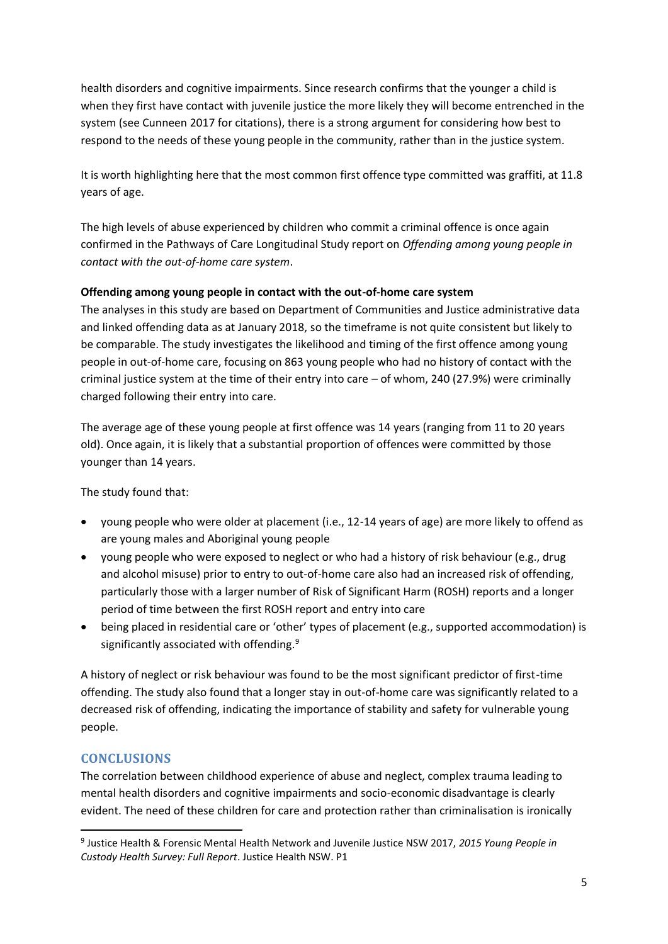health disorders and cognitive impairments. Since research confirms that the younger a child is when they first have contact with juvenile justice the more likely they will become entrenched in the system (see Cunneen 2017 for citations), there is a strong argument for considering how best to respond to the needs of these young people in the community, rather than in the justice system.

It is worth highlighting here that the most common first offence type committed was graffiti, at 11.8 years of age.

The high levels of abuse experienced by children who commit a criminal offence is once again confirmed in the Pathways of Care Longitudinal Study report on *Offending among young people in contact with the out-of-home care system*.

#### **Offending among young people in contact with the out-of-home care system**

The analyses in this study are based on Department of Communities and Justice administrative data and linked offending data as at January 2018, so the timeframe is not quite consistent but likely to be comparable. The study investigates the likelihood and timing of the first offence among young people in out-of-home care, focusing on 863 young people who had no history of contact with the criminal justice system at the time of their entry into care – of whom, 240 (27.9%) were criminally charged following their entry into care.

The average age of these young people at first offence was 14 years (ranging from 11 to 20 years old). Once again, it is likely that a substantial proportion of offences were committed by those younger than 14 years.

The study found that:

- young people who were older at placement (i.e., 12-14 years of age) are more likely to offend as are young males and Aboriginal young people
- young people who were exposed to neglect or who had a history of risk behaviour (e.g., drug and alcohol misuse) prior to entry to out-of-home care also had an increased risk of offending, particularly those with a larger number of Risk of Significant Harm (ROSH) reports and a longer period of time between the first ROSH report and entry into care
- being placed in residential care or 'other' types of placement (e.g., supported accommodation) is significantly associated with offending.<sup>9</sup>

A history of neglect or risk behaviour was found to be the most significant predictor of first-time offending. The study also found that a longer stay in out-of-home care was significantly related to a decreased risk of offending, indicating the importance of stability and safety for vulnerable young people.

## **CONCLUSIONS**

The correlation between childhood experience of abuse and neglect, complex trauma leading to mental health disorders and cognitive impairments and socio-economic disadvantage is clearly evident. The need of these children for care and protection rather than criminalisation is ironically

<sup>9</sup> Justice Health & Forensic Mental Health Network and Juvenile Justice NSW 2017, *2015 Young People in Custody Health Survey: Full Report*. Justice Health NSW. P1